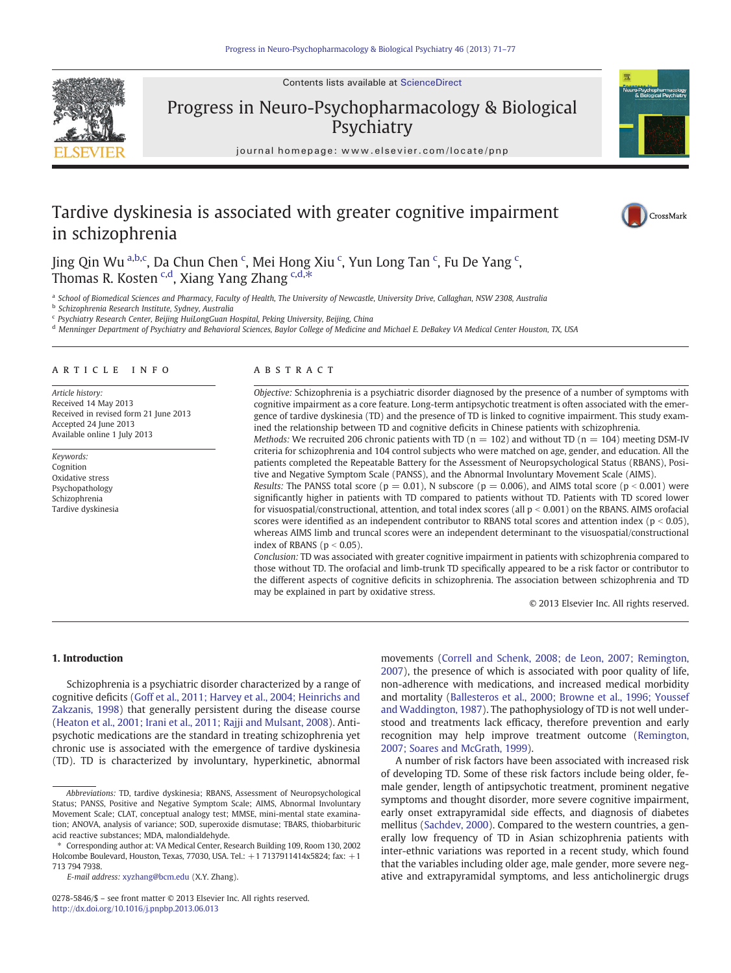Contents lists available at ScienceDirect



Progress in Neuro-Psychopharmacology & Biological **Psychiatry** 

journal homepage: www.elsevier.com/locate/pnp

# Tardive dyskinesia is associated with greater cognitive impairment in schizophrenia



CrossMark

Jing Qin Wu <sup>a,b,c</sup>, Da Chun Chen <sup>c</sup>, Mei Hong Xiu <sup>c</sup>, Yun Long Tan <sup>c</sup>, Fu De Yang <sup>c</sup>, Thomas R. Kosten <sup>c,d</sup>, Xiang Yang Zhang <sup>c,d,\*</sup>

a School of Biomedical Sciences and Pharmacy, Faculty of Health, The University of Newcastle, University Drive, Callaghan, NSW 2308, Australia

<sup>b</sup> Schizophrenia Research Institute, Sydney, Australia

<sup>c</sup> Psychiatry Research Center, Beijing HuiLongGuan Hospital, Peking University, Beijing, China

<sup>d</sup> Menninger Department of Psychiatry and Behavioral Sciences, Baylor College of Medicine and Michael E. DeBakey VA Medical Center Houston, TX, USA

#### article info abstract

Article history: Received 14 May 2013 Received in revised form 21 June 2013 Accepted 24 June 2013 Available online 1 July 2013

Keywords: Cognition Oxidative stress Psychopathology Schizophrenia Tardive dyskinesia

Objective: Schizophrenia is a psychiatric disorder diagnosed by the presence of a number of symptoms with cognitive impairment as a core feature. Long-term antipsychotic treatment is often associated with the emergence of tardive dyskinesia (TD) and the presence of TD is linked to cognitive impairment. This study examined the relationship between TD and cognitive deficits in Chinese patients with schizophrenia.

Methods: We recruited 206 chronic patients with TD ( $n = 102$ ) and without TD ( $n = 104$ ) meeting DSM-IV criteria for schizophrenia and 104 control subjects who were matched on age, gender, and education. All the patients completed the Repeatable Battery for the Assessment of Neuropsychological Status (RBANS), Positive and Negative Symptom Scale (PANSS), and the Abnormal Involuntary Movement Scale (AIMS).

Results: The PANSS total score ( $p = 0.01$ ), N subscore ( $p = 0.006$ ), and AIMS total score ( $p < 0.001$ ) were significantly higher in patients with TD compared to patients without TD. Patients with TD scored lower for visuospatial/constructional, attention, and total index scores (all  $p < 0.001$ ) on the RBANS. AIMS orofacial scores were identified as an independent contributor to RBANS total scores and attention index ( $p < 0.05$ ), whereas AIMS limb and truncal scores were an independent determinant to the visuospatial/constructional index of RBANS ( $p < 0.05$ ).

Conclusion: TD was associated with greater cognitive impairment in patients with schizophrenia compared to those without TD. The orofacial and limb-trunk TD specifically appeared to be a risk factor or contributor to the different aspects of cognitive deficits in schizophrenia. The association between schizophrenia and TD may be explained in part by oxidative stress.

© 2013 Elsevier Inc. All rights reserved.

### 1. Introduction

Schizophrenia is a psychiatric disorder characterized by a range of cognitive deficits ([Goff et al., 2011; Harvey et al., 2004; Heinrichs and](#page-5-0) [Zakzanis, 1998](#page-5-0)) that generally persistent during the disease course [\(Heaton et al., 2001; Irani et al., 2011; Rajji and Mulsant, 2008\)](#page-5-0). Antipsychotic medications are the standard in treating schizophrenia yet chronic use is associated with the emergence of tardive dyskinesia (TD). TD is characterized by involuntary, hyperkinetic, abnormal

movements [\(Correll and Schenk, 2008; de Leon, 2007; Remington,](#page-5-0) [2007\)](#page-5-0), the presence of which is associated with poor quality of life, non-adherence with medications, and increased medical morbidity and mortality [\(Ballesteros et al., 2000; Browne et al., 1996; Youssef](#page-5-0) [and Waddington, 1987](#page-5-0)). The pathophysiology of TD is not well understood and treatments lack efficacy, therefore prevention and early recognition may help improve treatment outcome ([Remington,](#page-5-0) [2007; Soares and McGrath, 1999\)](#page-5-0).

A number of risk factors have been associated with increased risk of developing TD. Some of these risk factors include being older, female gender, length of antipsychotic treatment, prominent negative symptoms and thought disorder, more severe cognitive impairment, early onset extrapyramidal side effects, and diagnosis of diabetes mellitus ([Sachdev, 2000](#page-5-0)). Compared to the western countries, a generally low frequency of TD in Asian schizophrenia patients with inter-ethnic variations was reported in a recent study, which found that the variables including older age, male gender, more severe negative and extrapyramidal symptoms, and less anticholinergic drugs

Abbreviations: TD, tardive dyskinesia; RBANS, Assessment of Neuropsychological Status; PANSS, Positive and Negative Symptom Scale; AIMS, Abnormal Involuntary Movement Scale; CLAT, conceptual analogy test; MMSE, mini-mental state examination; ANOVA, analysis of variance; SOD, superoxide dismutase; TBARS, thiobarbituric acid reactive substances; MDA, malondialdehyde.

<sup>⁎</sup> Corresponding author at: VA Medical Center, Research Building 109, Room 130, 2002 Holcombe Boulevard, Houston, Texas, 77030, USA. Tel.: +1 7137911414x5824; fax: +1 713 794 7938.

E-mail address: [xyzhang@bcm.edu](mailto:xyzhang@bcm.edu) (X.Y. Zhang).

<sup>0278-5846/\$</sup> – see front matter © 2013 Elsevier Inc. All rights reserved. <http://dx.doi.org/10.1016/j.pnpbp.2013.06.013>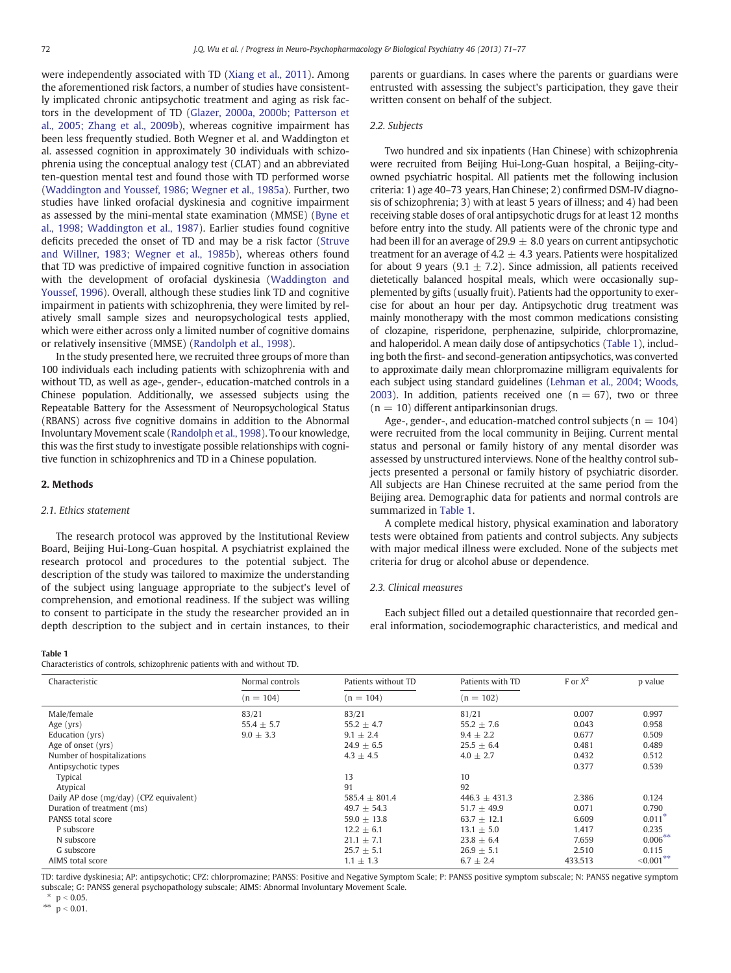<span id="page-1-0"></span>were independently associated with TD [\(Xiang et al., 2011\)](#page-6-0). Among the aforementioned risk factors, a number of studies have consistently implicated chronic antipsychotic treatment and aging as risk factors in the development of TD [\(Glazer, 2000a, 2000b; Patterson et](#page-5-0) [al., 2005; Zhang et al., 2009b](#page-5-0)), whereas cognitive impairment has been less frequently studied. Both Wegner et al. and Waddington et al. assessed cognition in approximately 30 individuals with schizophrenia using the conceptual analogy test (CLAT) and an abbreviated ten-question mental test and found those with TD performed worse [\(Waddington and Youssef, 1986; Wegner et al., 1985a\)](#page-5-0). Further, two studies have linked orofacial dyskinesia and cognitive impairment as assessed by the mini-mental state examination (MMSE) [\(Byne et](#page-5-0) [al., 1998; Waddington et al., 1987](#page-5-0)). Earlier studies found cognitive deficits preceded the onset of TD and may be a risk factor [\(Struve](#page-5-0) [and Willner, 1983; Wegner et al., 1985b\)](#page-5-0), whereas others found that TD was predictive of impaired cognitive function in association with the development of orofacial dyskinesia ([Waddington and](#page-5-0) [Youssef, 1996\)](#page-5-0). Overall, although these studies link TD and cognitive impairment in patients with schizophrenia, they were limited by relatively small sample sizes and neuropsychological tests applied, which were either across only a limited number of cognitive domains or relatively insensitive (MMSE) ([Randolph et al., 1998](#page-5-0)).

In the study presented here, we recruited three groups of more than 100 individuals each including patients with schizophrenia with and without TD, as well as age-, gender-, education-matched controls in a Chinese population. Additionally, we assessed subjects using the Repeatable Battery for the Assessment of Neuropsychological Status (RBANS) across five cognitive domains in addition to the Abnormal Involuntary Movement scale [\(Randolph et al., 1998\)](#page-5-0). To our knowledge, this was the first study to investigate possible relationships with cognitive function in schizophrenics and TD in a Chinese population.

#### 2. Methods

#### 2.1. Ethics statement

The research protocol was approved by the Institutional Review Board, Beijing Hui-Long-Guan hospital. A psychiatrist explained the research protocol and procedures to the potential subject. The description of the study was tailored to maximize the understanding of the subject using language appropriate to the subject's level of comprehension, and emotional readiness. If the subject was willing to consent to participate in the study the researcher provided an in depth description to the subject and in certain instances, to their

#### Table 1

Characteristics of controls, schizophrenic patients with and without TD.

parents or guardians. In cases where the parents or guardians were entrusted with assessing the subject's participation, they gave their written consent on behalf of the subject.

#### 2.2. Subjects

Two hundred and six inpatients (Han Chinese) with schizophrenia were recruited from Beijing Hui-Long-Guan hospital, a Beijing-cityowned psychiatric hospital. All patients met the following inclusion criteria: 1) age 40–73 years, Han Chinese; 2) confirmed DSM-IV diagnosis of schizophrenia; 3) with at least 5 years of illness; and 4) had been receiving stable doses of oral antipsychotic drugs for at least 12 months before entry into the study. All patients were of the chronic type and had been ill for an average of 29.9  $\pm$  8.0 years on current antipsychotic treatment for an average of 4.2  $\pm$  4.3 years. Patients were hospitalized for about 9 years (9.1  $\pm$  7.2). Since admission, all patients received dietetically balanced hospital meals, which were occasionally supplemented by gifts (usually fruit). Patients had the opportunity to exercise for about an hour per day. Antipsychotic drug treatment was mainly monotherapy with the most common medications consisting of clozapine, risperidone, perphenazine, sulpiride, chlorpromazine, and haloperidol. A mean daily dose of antipsychotics (Table 1), including both the first- and second-generation antipsychotics, was converted to approximate daily mean chlorpromazine milligram equivalents for each subject using standard guidelines ([Lehman et al., 2004; Woods,](#page-5-0) [2003\)](#page-5-0). In addition, patients received one ( $n = 67$ ), two or three  $(n = 10)$  different antiparkinsonian drugs.

Age-, gender-, and education-matched control subjects ( $n = 104$ ) were recruited from the local community in Beijing. Current mental status and personal or family history of any mental disorder was assessed by unstructured interviews. None of the healthy control subjects presented a personal or family history of psychiatric disorder. All subjects are Han Chinese recruited at the same period from the Beijing area. Demographic data for patients and normal controls are summarized in Table 1.

A complete medical history, physical examination and laboratory tests were obtained from patients and control subjects. Any subjects with major medical illness were excluded. None of the subjects met criteria for drug or alcohol abuse or dependence.

#### 2.3. Clinical measures

Each subject filled out a detailed questionnaire that recorded general information, sociodemographic characteristics, and medical and

| Characteristic                          | Normal controls | Patients without TD | Patients with TD  | F or $X^2$ | p value      |  |
|-----------------------------------------|-----------------|---------------------|-------------------|------------|--------------|--|
|                                         | $(n = 104)$     | $(n = 104)$         | $(n = 102)$       |            |              |  |
| Male/female                             | 83/21           | 83/21               | 81/21             | 0.007      | 0.997        |  |
| Age (yrs)                               | 55.4 $\pm$ 5.7  | $55.2 + 4.7$        | $55.2 + 7.6$      | 0.043      | 0.958        |  |
| Education (yrs)                         | $9.0 \pm 3.3$   | $9.1 \pm 2.4$       | $9.4 \pm 2.2$     | 0.677      | 0.509        |  |
| Age of onset (yrs)                      |                 | $24.9 + 6.5$        | $25.5 + 6.4$      | 0.481      | 0.489        |  |
| Number of hospitalizations              |                 | $4.3 + 4.5$         | $4.0 + 2.7$       | 0.432      | 0.512        |  |
| Antipsychotic types                     |                 |                     |                   | 0.377      | 0.539        |  |
| <b>Typical</b>                          |                 | 13                  | 10                |            |              |  |
| Atypical                                |                 | 91                  | 92                |            |              |  |
| Daily AP dose (mg/day) (CPZ equivalent) |                 | 585.4 $\pm$ 801.4   | $446.3 \pm 431.3$ | 2.386      | 0.124        |  |
| Duration of treatment (ms)              |                 | $49.7 \pm 54.3$     | $51.7 \pm 49.9$   | 0.071      | 0.790        |  |
| PANSS total score                       |                 | $59.0 + 13.8$       | $63.7 + 12.1$     | 6.609      | $0.011*$     |  |
| P subscore                              |                 | $12.2 \pm 6.1$      | $13.1 + 5.0$      | 1.417      | 0.235        |  |
| N subscore                              |                 | $21.1 + 7.1$        | $23.8 + 6.4$      | 7.659      | $0.006***$   |  |
| G subscore                              |                 | $25.7 \pm 5.1$      | $26.9 \pm 5.1$    | 2.510      | 0.115        |  |
| AIMS total score                        |                 | $1.1 \pm 1.3$       | $6.7 + 2.4$       | 433.513    | $< 0.001$ ** |  |
|                                         |                 |                     |                   |            |              |  |

TD: tardive dyskinesia; AP: antipsychotic; CPZ: chlorpromazine; PANSS: Positive and Negative Symptom Scale; P: PANSS positive symptom subscale; N: PANSS negative symptom subscale; G: PANSS general psychopathology subscale; AIMS: Abnormal Involuntary Movement Scale.

\*  $p < 0.05$ . \*\*  $\bar{p}$  < 0.01.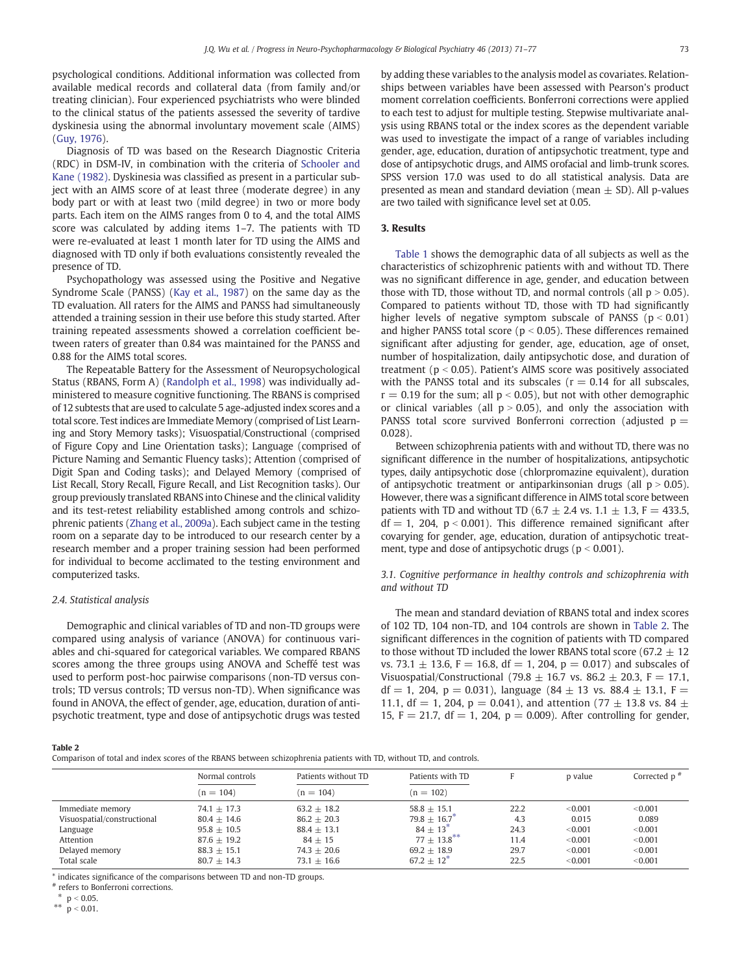<span id="page-2-0"></span>psychological conditions. Additional information was collected from available medical records and collateral data (from family and/or treating clinician). Four experienced psychiatrists who were blinded to the clinical status of the patients assessed the severity of tardive dyskinesia using the abnormal involuntary movement scale (AIMS) [\(Guy, 1976](#page-5-0)).

Diagnosis of TD was based on the Research Diagnostic Criteria (RDC) in DSM-IV, in combination with the criteria of [Schooler and](#page-5-0) [Kane \(1982\)](#page-5-0). Dyskinesia was classified as present in a particular subject with an AIMS score of at least three (moderate degree) in any body part or with at least two (mild degree) in two or more body parts. Each item on the AIMS ranges from 0 to 4, and the total AIMS score was calculated by adding items 1–7. The patients with TD were re-evaluated at least 1 month later for TD using the AIMS and diagnosed with TD only if both evaluations consistently revealed the presence of TD.

Psychopathology was assessed using the Positive and Negative Syndrome Scale (PANSS) [\(Kay et al., 1987](#page-5-0)) on the same day as the TD evaluation. All raters for the AIMS and PANSS had simultaneously attended a training session in their use before this study started. After training repeated assessments showed a correlation coefficient between raters of greater than 0.84 was maintained for the PANSS and 0.88 for the AIMS total scores.

The Repeatable Battery for the Assessment of Neuropsychological Status (RBANS, Form A) ([Randolph et al., 1998](#page-5-0)) was individually administered to measure cognitive functioning. The RBANS is comprised of 12 subtests that are used to calculate 5 age-adjusted index scores and a total score. Test indices are Immediate Memory (comprised of List Learning and Story Memory tasks); Visuospatial/Constructional (comprised of Figure Copy and Line Orientation tasks); Language (comprised of Picture Naming and Semantic Fluency tasks); Attention (comprised of Digit Span and Coding tasks); and Delayed Memory (comprised of List Recall, Story Recall, Figure Recall, and List Recognition tasks). Our group previously translated RBANS into Chinese and the clinical validity and its test-retest reliability established among controls and schizophrenic patients ([Zhang et al., 2009a](#page-6-0)). Each subject came in the testing room on a separate day to be introduced to our research center by a research member and a proper training session had been performed for individual to become acclimated to the testing environment and computerized tasks.

### 2.4. Statistical analysis

Demographic and clinical variables of TD and non-TD groups were compared using analysis of variance (ANOVA) for continuous variables and chi-squared for categorical variables. We compared RBANS scores among the three groups using ANOVA and Scheffé test was used to perform post-hoc pairwise comparisons (non-TD versus controls; TD versus controls; TD versus non-TD). When significance was found in ANOVA, the effect of gender, age, education, duration of antipsychotic treatment, type and dose of antipsychotic drugs was tested by adding these variables to the analysis model as covariates. Relationships between variables have been assessed with Pearson's product moment correlation coefficients. Bonferroni corrections were applied to each test to adjust for multiple testing. Stepwise multivariate analysis using RBANS total or the index scores as the dependent variable was used to investigate the impact of a range of variables including gender, age, education, duration of antipsychotic treatment, type and dose of antipsychotic drugs, and AIMS orofacial and limb-trunk scores. SPSS version 17.0 was used to do all statistical analysis. Data are presented as mean and standard deviation (mean  $\pm$  SD). All p-values are two tailed with significance level set at 0.05.

## 3. Results

[Table 1](#page-1-0) shows the demographic data of all subjects as well as the characteristics of schizophrenic patients with and without TD. There was no significant difference in age, gender, and education between those with TD, those without TD, and normal controls (all  $p > 0.05$ ). Compared to patients without TD, those with TD had significantly higher levels of negative symptom subscale of PANSS ( $p < 0.01$ ) and higher PANSS total score ( $p < 0.05$ ). These differences remained significant after adjusting for gender, age, education, age of onset, number of hospitalization, daily antipsychotic dose, and duration of treatment ( $p < 0.05$ ). Patient's AIMS score was positively associated with the PANSS total and its subscales ( $r = 0.14$  for all subscales,  $r = 0.19$  for the sum; all  $p < 0.05$ ), but not with other demographic or clinical variables (all  $p > 0.05$ ), and only the association with PANSS total score survived Bonferroni correction (adjusted  $p =$ 0.028).

Between schizophrenia patients with and without TD, there was no significant difference in the number of hospitalizations, antipsychotic types, daily antipsychotic dose (chlorpromazine equivalent), duration of antipsychotic treatment or antiparkinsonian drugs (all  $p > 0.05$ ). However, there was a significant difference in AIMS total score between patients with TD and without TD (6.7  $\pm$  2.4 vs. 1.1  $\pm$  1.3, F = 433.5,  $df = 1$ , 204, p < 0.001). This difference remained significant after covarying for gender, age, education, duration of antipsychotic treatment, type and dose of antipsychotic drugs ( $p < 0.001$ ).

# 3.1. Cognitive performance in healthy controls and schizophrenia with and without TD

The mean and standard deviation of RBANS total and index scores of 102 TD, 104 non-TD, and 104 controls are shown in Table 2. The significant differences in the cognition of patients with TD compared to those without TD included the lower RBANS total score (67.2  $\pm$  12 vs. 73.1  $\pm$  13.6, F = 16.8, df = 1, 204, p = 0.017) and subscales of Visuospatial/Constructional (79.8  $\pm$  16.7 vs. 86.2  $\pm$  20.3, F = 17.1, df = 1, 204, p = 0.031), language  $(84 \pm 13 \text{ vs. } 88.4 \pm 13.1, \text{ F} =$ 11.1, df = 1, 204, p = 0.041), and attention (77  $\pm$  13.8 vs. 84  $\pm$ 15, F = 21.7, df = 1, 204,  $p = 0.009$ ). After controlling for gender,

Table 2

Comparison of total and index scores of the RBANS between schizophrenia patients with TD, without TD, and controls.

|                                                                                                           | Normal controls                                                                                    | Patients without TD                                                                            | Patients with TD                                                                                                          |                                             | p value                                                      | Corrected $p^*$                                              |
|-----------------------------------------------------------------------------------------------------------|----------------------------------------------------------------------------------------------------|------------------------------------------------------------------------------------------------|---------------------------------------------------------------------------------------------------------------------------|---------------------------------------------|--------------------------------------------------------------|--------------------------------------------------------------|
|                                                                                                           | $(n = 104)$                                                                                        | $(n = 104)$                                                                                    | $(n = 102)$                                                                                                               |                                             |                                                              |                                                              |
| Immediate memory<br>Visuospatial/constructional<br>Language<br>Attention<br>Delayed memory<br>Total scale | $74.1 + 17.3$<br>$80.4 + 14.6$<br>$95.8 + 10.5$<br>$87.6 + 19.2$<br>$88.3 + 15.1$<br>$80.7 + 14.3$ | $63.2 + 18.2$<br>$86.2 + 20.3$<br>$88.4 + 13.1$<br>$84 + 15$<br>$74.3 + 20.6$<br>$73.1 + 16.6$ | $58.8 + 15.1$<br>$79.8 + 16.7^*$<br>$84 + 13$ <sup>*</sup><br>$77 + 13.8$ <sup>**</sup><br>$69.2 + 18.9$<br>$67.2 + 12^*$ | 22.2<br>4.3<br>24.3<br>11.4<br>29.7<br>22.5 | < 0.001<br>0.015<br>< 0.001<br>< 0.001<br>< 0.001<br>< 0.001 | < 0.001<br>0.089<br>< 0.001<br>< 0.001<br>< 0.001<br>< 0.001 |

 $*$  indicates significance of the comparisons between TD and non-TD groups.

# refers to Bonferroni corrections.

\*  $p < 0.05$ .<br>\*\*  $p < 0.01$  $p < 0.01$ .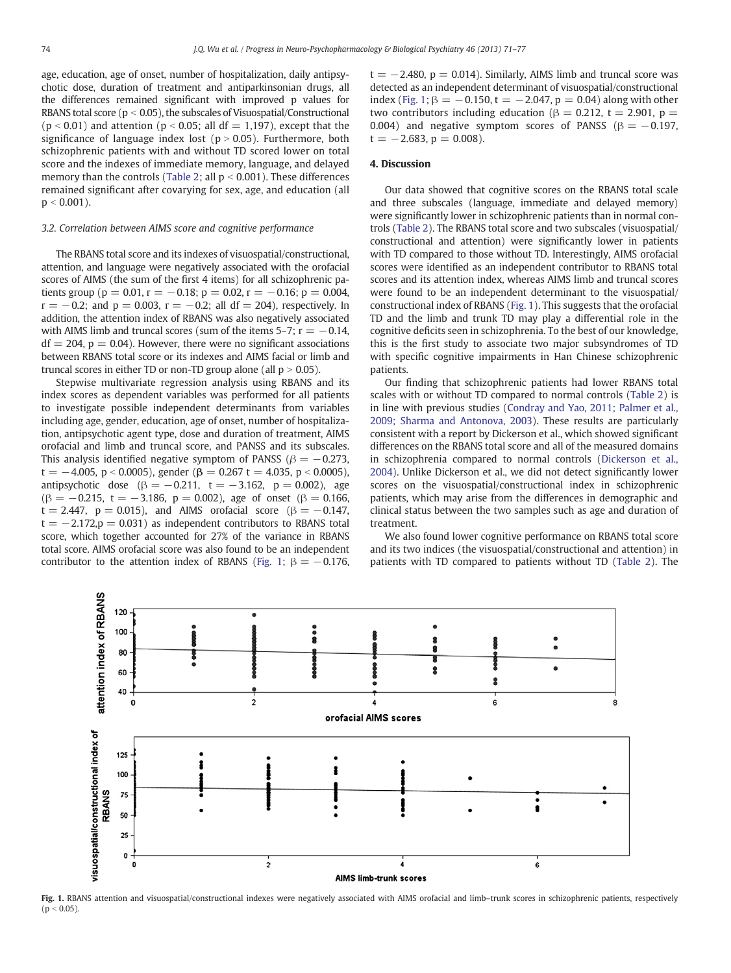<span id="page-3-0"></span>age, education, age of onset, number of hospitalization, daily antipsychotic dose, duration of treatment and antiparkinsonian drugs, all the differences remained significant with improved p values for RBANS total score ( $p < 0.05$ ), the subscales of Visuospatial/Constructional  $(p < 0.01)$  and attention (p < 0.05; all df = 1,197), except that the significance of language index lost ( $p > 0.05$ ). Furthermore, both schizophrenic patients with and without TD scored lower on total score and the indexes of immediate memory, language, and delayed memory than the controls ([Table 2](#page-2-0); all  $p < 0.001$ ). These differences remained significant after covarying for sex, age, and education (all  $p < 0.001$ ).

#### 3.2. Correlation between AIMS score and cognitive performance

The RBANS total score and its indexes of visuospatial/constructional, attention, and language were negatively associated with the orofacial scores of AIMS (the sum of the first 4 items) for all schizophrenic patients group ( $p = 0.01$ ,  $r = -0.18$ ;  $p = 0.02$ ,  $r = -0.16$ ;  $p = 0.004$ ,  $r = -0.2$ ; and  $p = 0.003$ ,  $r = -0.2$ ; all df = 204), respectively. In addition, the attention index of RBANS was also negatively associated with AIMS limb and truncal scores (sum of the items 5–7;  $r = -0.14$ ,  $df = 204$ ,  $p = 0.04$ ). However, there were no significant associations between RBANS total score or its indexes and AIMS facial or limb and truncal scores in either TD or non-TD group alone (all  $p > 0.05$ ).

Stepwise multivariate regression analysis using RBANS and its index scores as dependent variables was performed for all patients to investigate possible independent determinants from variables including age, gender, education, age of onset, number of hospitalization, antipsychotic agent type, dose and duration of treatment, AIMS orofacial and limb and truncal score, and PANSS and its subscales. This analysis identified negative symptom of PANSS ( $\beta = -0.273$ , t =  $-4.005$ , p < 0.0005), gender ( $\beta$  = 0.267 t = 4.035, p < 0.0005), antipsychotic dose ( $\beta = -0.211$ , t = -3.162, p = 0.002), age  $(\beta = -0.215, t = -3.186, p = 0.002)$ , age of onset ( $\beta = 0.166$ , t = 2.447, p = 0.015), and AIMS orofacial score ( $\beta$  = -0.147,  $t = -2.172$ , $p = 0.031$ ) as independent contributors to RBANS total score, which together accounted for 27% of the variance in RBANS total score. AIMS orofacial score was also found to be an independent contributor to the attention index of RBANS (Fig. 1;  $\beta = -0.176$ ,  $t = -2.480$ ,  $p = 0.014$ ). Similarly, AIMS limb and truncal score was detected as an independent determinant of visuospatial/constructional index (Fig. 1;  $\beta = -0.150$ , t =  $-2.047$ , p = 0.04) along with other two contributors including education ( $\beta = 0.212$ , t = 2.901, p = 0.004) and negative symptom scores of PANSS ( $\beta = -0.197$ ,  $t = -2.683$ ,  $p = 0.008$ ).

#### 4. Discussion

Our data showed that cognitive scores on the RBANS total scale and three subscales (language, immediate and delayed memory) were significantly lower in schizophrenic patients than in normal controls [\(Table 2](#page-2-0)). The RBANS total score and two subscales (visuospatial/ constructional and attention) were significantly lower in patients with TD compared to those without TD. Interestingly, AIMS orofacial scores were identified as an independent contributor to RBANS total scores and its attention index, whereas AIMS limb and truncal scores were found to be an independent determinant to the visuospatial/ constructional index of RBANS (Fig. 1). This suggests that the orofacial TD and the limb and trunk TD may play a differential role in the cognitive deficits seen in schizophrenia. To the best of our knowledge, this is the first study to associate two major subsyndromes of TD with specific cognitive impairments in Han Chinese schizophrenic patients.

Our finding that schizophrenic patients had lower RBANS total scales with or without TD compared to normal controls ([Table 2\)](#page-2-0) is in line with previous studies ([Condray and Yao, 2011; Palmer et al.,](#page-5-0) [2009; Sharma and Antonova, 2003\)](#page-5-0). These results are particularly consistent with a report by Dickerson et al., which showed significant differences on the RBANS total score and all of the measured domains in schizophrenia compared to normal controls [\(Dickerson et al.,](#page-5-0) [2004\)](#page-5-0). Unlike Dickerson et al., we did not detect significantly lower scores on the visuospatial/constructional index in schizophrenic patients, which may arise from the differences in demographic and clinical status between the two samples such as age and duration of treatment.

We also found lower cognitive performance on RBANS total score and its two indices (the visuospatial/constructional and attention) in patients with TD compared to patients without TD ([Table 2](#page-2-0)). The



Fig. 1. RBANS attention and visuospatial/constructional indexes were negatively associated with AIMS orofacial and limb-trunk scores in schizophrenic patients, respectively  $(p < 0.05)$ .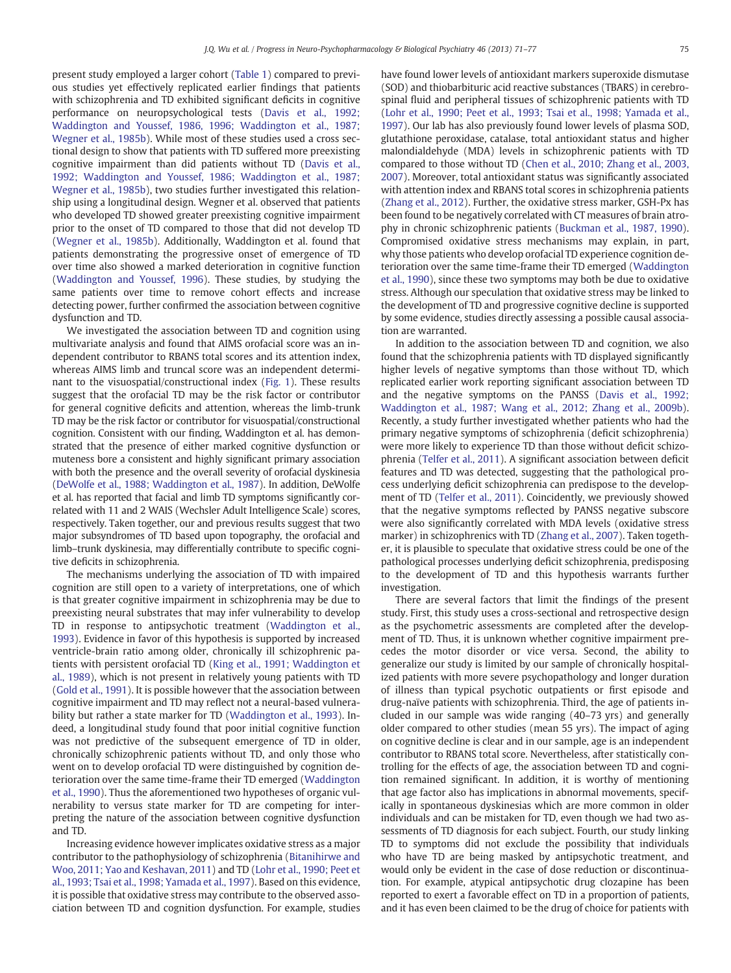present study employed a larger cohort ([Table 1\)](#page-1-0) compared to previous studies yet effectively replicated earlier findings that patients with schizophrenia and TD exhibited significant deficits in cognitive performance on neuropsychological tests ([Davis et al., 1992;](#page-5-0) [Waddington and Youssef, 1986, 1996; Waddington et al., 1987;](#page-5-0) [Wegner et al., 1985b\)](#page-5-0). While most of these studies used a cross sectional design to show that patients with TD suffered more preexisting cognitive impairment than did patients without TD [\(Davis et al.,](#page-5-0) [1992; Waddington and Youssef, 1986; Waddington et al., 1987;](#page-5-0) [Wegner et al., 1985b\)](#page-5-0), two studies further investigated this relationship using a longitudinal design. Wegner et al. observed that patients who developed TD showed greater preexisting cognitive impairment prior to the onset of TD compared to those that did not develop TD [\(Wegner et al., 1985b](#page-6-0)). Additionally, Waddington et al. found that patients demonstrating the progressive onset of emergence of TD over time also showed a marked deterioration in cognitive function [\(Waddington and Youssef, 1996\)](#page-5-0). These studies, by studying the same patients over time to remove cohort effects and increase detecting power, further confirmed the association between cognitive dysfunction and TD.

We investigated the association between TD and cognition using multivariate analysis and found that AIMS orofacial score was an independent contributor to RBANS total scores and its attention index, whereas AIMS limb and truncal score was an independent determinant to the visuospatial/constructional index [\(Fig. 1\)](#page-3-0). These results suggest that the orofacial TD may be the risk factor or contributor for general cognitive deficits and attention, whereas the limb-trunk TD may be the risk factor or contributor for visuospatial/constructional cognition. Consistent with our finding, Waddington et al. has demonstrated that the presence of either marked cognitive dysfunction or muteness bore a consistent and highly significant primary association with both the presence and the overall severity of orofacial dyskinesia [\(DeWolfe et al., 1988; Waddington et al., 1987](#page-5-0)). In addition, DeWolfe et al. has reported that facial and limb TD symptoms significantly correlated with 11 and 2 WAIS (Wechsler Adult Intelligence Scale) scores, respectively. Taken together, our and previous results suggest that two major subsyndromes of TD based upon topography, the orofacial and limb–trunk dyskinesia, may differentially contribute to specific cognitive deficits in schizophrenia.

The mechanisms underlying the association of TD with impaired cognition are still open to a variety of interpretations, one of which is that greater cognitive impairment in schizophrenia may be due to preexisting neural substrates that may infer vulnerability to develop TD in response to antipsychotic treatment [\(Waddington et al.,](#page-5-0) [1993\)](#page-5-0). Evidence in favor of this hypothesis is supported by increased ventricle-brain ratio among older, chronically ill schizophrenic patients with persistent orofacial TD ([King et al., 1991; Waddington et](#page-5-0) [al., 1989](#page-5-0)), which is not present in relatively young patients with TD [\(Gold et al., 1991\)](#page-5-0). It is possible however that the association between cognitive impairment and TD may reflect not a neural-based vulnerability but rather a state marker for TD [\(Waddington et al., 1993](#page-5-0)). Indeed, a longitudinal study found that poor initial cognitive function was not predictive of the subsequent emergence of TD in older, chronically schizophrenic patients without TD, and only those who went on to develop orofacial TD were distinguished by cognition deterioration over the same time-frame their TD emerged [\(Waddington](#page-5-0) [et al., 1990\)](#page-5-0). Thus the aforementioned two hypotheses of organic vulnerability to versus state marker for TD are competing for interpreting the nature of the association between cognitive dysfunction and TD.

Increasing evidence however implicates oxidative stress as a major contributor to the pathophysiology of schizophrenia ([Bitanihirwe and](#page-5-0) [Woo, 2011; Yao and Keshavan, 2011\)](#page-5-0) and TD [\(Lohr et al., 1990; Peet et](#page-5-0) [al., 1993; Tsai et al., 1998; Yamada et al., 1997](#page-5-0)). Based on this evidence, it is possible that oxidative stress may contribute to the observed association between TD and cognition dysfunction. For example, studies have found lower levels of antioxidant markers superoxide dismutase (SOD) and thiobarbituric acid reactive substances (TBARS) in cerebrospinal fluid and peripheral tissues of schizophrenic patients with TD [\(Lohr et al., 1990; Peet et al., 1993; Tsai et al., 1998; Yamada et al.,](#page-5-0) [1997\)](#page-5-0). Our lab has also previously found lower levels of plasma SOD, glutathione peroxidase, catalase, total antioxidant status and higher malondialdehyde (MDA) levels in schizophrenic patients with TD compared to those without TD ([Chen et al., 2010; Zhang et al., 2003,](#page-5-0) [2007\)](#page-5-0). Moreover, total antioxidant status was significantly associated with attention index and RBANS total scores in schizophrenia patients [\(Zhang et al., 2012](#page-6-0)). Further, the oxidative stress marker, GSH-Px has been found to be negatively correlated with CT measures of brain atrophy in chronic schizophrenic patients ([Buckman et al., 1987, 1990](#page-5-0)). Compromised oxidative stress mechanisms may explain, in part, why those patients who develop orofacial TD experience cognition deterioration over the same time-frame their TD emerged [\(Waddington](#page-5-0) [et al., 1990\)](#page-5-0), since these two symptoms may both be due to oxidative stress. Although our speculation that oxidative stress may be linked to the development of TD and progressive cognitive decline is supported by some evidence, studies directly assessing a possible causal association are warranted.

In addition to the association between TD and cognition, we also found that the schizophrenia patients with TD displayed significantly higher levels of negative symptoms than those without TD, which replicated earlier work reporting significant association between TD and the negative symptoms on the PANSS ([Davis et al., 1992;](#page-5-0) [Waddington et al., 1987; Wang et al., 2012; Zhang et al., 2009b](#page-5-0)). Recently, a study further investigated whether patients who had the primary negative symptoms of schizophrenia (deficit schizophrenia) were more likely to experience TD than those without deficit schizophrenia [\(Telfer et al., 2011\)](#page-5-0). A significant association between deficit features and TD was detected, suggesting that the pathological process underlying deficit schizophrenia can predispose to the development of TD ([Telfer et al., 2011](#page-5-0)). Coincidently, we previously showed that the negative symptoms reflected by PANSS negative subscore were also significantly correlated with MDA levels (oxidative stress marker) in schizophrenics with TD ([Zhang et al., 2007](#page-6-0)). Taken together, it is plausible to speculate that oxidative stress could be one of the pathological processes underlying deficit schizophrenia, predisposing to the development of TD and this hypothesis warrants further investigation.

There are several factors that limit the findings of the present study. First, this study uses a cross-sectional and retrospective design as the psychometric assessments are completed after the development of TD. Thus, it is unknown whether cognitive impairment precedes the motor disorder or vice versa. Second, the ability to generalize our study is limited by our sample of chronically hospitalized patients with more severe psychopathology and longer duration of illness than typical psychotic outpatients or first episode and drug-naïve patients with schizophrenia. Third, the age of patients included in our sample was wide ranging (40–73 yrs) and generally older compared to other studies (mean 55 yrs). The impact of aging on cognitive decline is clear and in our sample, age is an independent contributor to RBANS total score. Nevertheless, after statistically controlling for the effects of age, the association between TD and cognition remained significant. In addition, it is worthy of mentioning that age factor also has implications in abnormal movements, specifically in spontaneous dyskinesias which are more common in older individuals and can be mistaken for TD, even though we had two assessments of TD diagnosis for each subject. Fourth, our study linking TD to symptoms did not exclude the possibility that individuals who have TD are being masked by antipsychotic treatment, and would only be evident in the case of dose reduction or discontinuation. For example, atypical antipsychotic drug clozapine has been reported to exert a favorable effect on TD in a proportion of patients, and it has even been claimed to be the drug of choice for patients with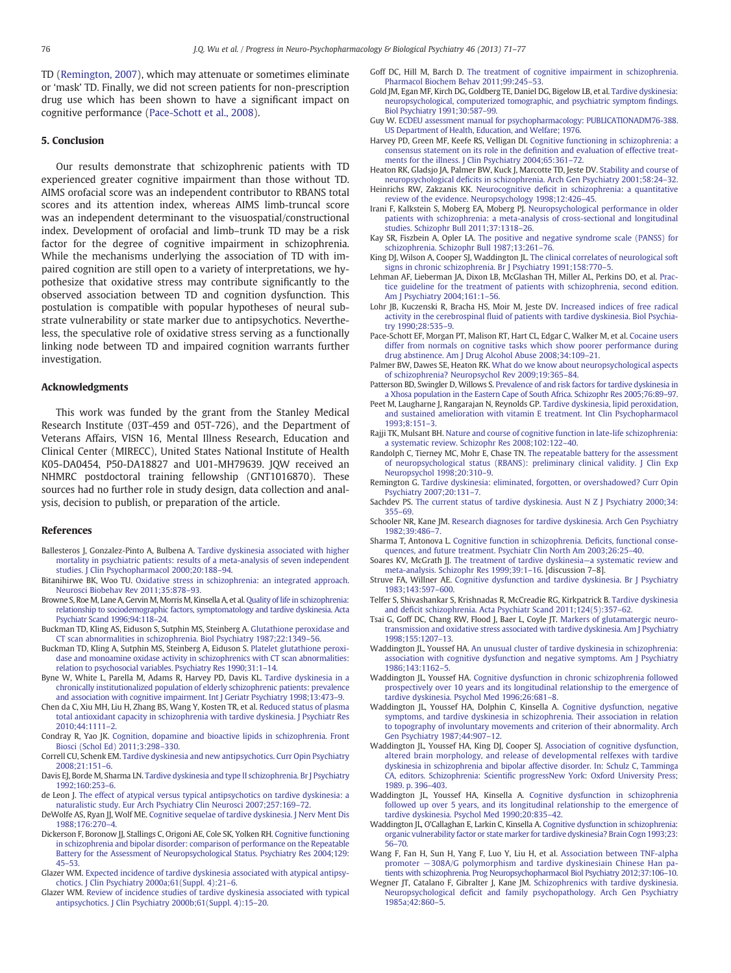<span id="page-5-0"></span>TD (Remington, 2007), which may attenuate or sometimes eliminate or 'mask' TD. Finally, we did not screen patients for non-prescription drug use which has been shown to have a significant impact on cognitive performance (Pace-Schott et al., 2008).

#### 5. Conclusion

Our results demonstrate that schizophrenic patients with TD experienced greater cognitive impairment than those without TD. AIMS orofacial score was an independent contributor to RBANS total scores and its attention index, whereas AIMS limb-truncal score was an independent determinant to the visuospatial/constructional index. Development of orofacial and limb–trunk TD may be a risk factor for the degree of cognitive impairment in schizophrenia. While the mechanisms underlying the association of TD with impaired cognition are still open to a variety of interpretations, we hypothesize that oxidative stress may contribute significantly to the observed association between TD and cognition dysfunction. This postulation is compatible with popular hypotheses of neural substrate vulnerability or state marker due to antipsychotics. Nevertheless, the speculative role of oxidative stress serving as a functionally linking node between TD and impaired cognition warrants further investigation.

### Acknowledgments

This work was funded by the grant from the Stanley Medical Research Institute (03T-459 and 05T-726), and the Department of Veterans Affairs, VISN 16, Mental Illness Research, Education and Clinical Center (MIRECC), United States National Institute of Health K05-DA0454, P50-DA18827 and U01-MH79639. JQW received an NHMRC postdoctoral training fellowship (GNT1016870). These sources had no further role in study design, data collection and analysis, decision to publish, or preparation of the article.

### References

- Ballesteros J, Gonzalez-Pinto A, Bulbena A. [Tardive dyskinesia associated with higher](http://refhub.elsevier.com/S0278-5846(13)00124-3/rf0005) [mortality in psychiatric patients: results of a meta-analysis of seven independent](http://refhub.elsevier.com/S0278-5846(13)00124-3/rf0005) [studies. J Clin Psychopharmacol 2000;20:188](http://refhub.elsevier.com/S0278-5846(13)00124-3/rf0005)–94.
- Bitanihirwe BK, Woo TU. [Oxidative stress in schizophrenia: an integrated approach.](http://refhub.elsevier.com/S0278-5846(13)00124-3/rf0010) [Neurosci Biobehav Rev 2011;35:878](http://refhub.elsevier.com/S0278-5846(13)00124-3/rf0010)–93.
- Browne S, Roe M, Lane A, Gervin M, Morris M, Kinsella A, et al. [Quality of life in schizophrenia:](http://refhub.elsevier.com/S0278-5846(13)00124-3/rf0015) [relationship to sociodemographic factors, symptomatology and tardive dyskinesia. Acta](http://refhub.elsevier.com/S0278-5846(13)00124-3/rf0015) [Psychiatr Scand 1996;94:118](http://refhub.elsevier.com/S0278-5846(13)00124-3/rf0015)–24.
- Buckman TD, Kling AS, Eiduson S, Sutphin MS, Steinberg A. [Glutathione peroxidase and](http://refhub.elsevier.com/S0278-5846(13)00124-3/rf0025) [CT scan abnormalities in schizophrenia. Biol Psychiatry 1987;22:1349](http://refhub.elsevier.com/S0278-5846(13)00124-3/rf0025)–56.
- Buckman TD, Kling A, Sutphin MS, Steinberg A, Eiduson S. [Platelet glutathione peroxi](http://refhub.elsevier.com/S0278-5846(13)00124-3/rf0020)[dase and monoamine oxidase activity in schizophrenics with CT scan abnormalities:](http://refhub.elsevier.com/S0278-5846(13)00124-3/rf0020) [relation to psychosocial variables. Psychiatry Res 1990;31:1](http://refhub.elsevier.com/S0278-5846(13)00124-3/rf0020)–14.
- Byne W, White L, Parella M, Adams R, Harvey PD, Davis KL. [Tardive dyskinesia in a](http://refhub.elsevier.com/S0278-5846(13)00124-3/rf0030) [chronically institutionalized population of elderly schizophrenic patients: prevalence](http://refhub.elsevier.com/S0278-5846(13)00124-3/rf0030) [and association with cognitive impairment. Int J Geriatr Psychiatry 1998;13:473](http://refhub.elsevier.com/S0278-5846(13)00124-3/rf0030)–9.
- Chen da C, Xiu MH, Liu H, Zhang BS, Wang Y, Kosten TR, et al. [Reduced status of plasma](http://refhub.elsevier.com/S0278-5846(13)00124-3/rf0035) [total antioxidant capacity in schizophrenia with tardive dyskinesia. J Psychiatr Res](http://refhub.elsevier.com/S0278-5846(13)00124-3/rf0035) [2010;44:1111](http://refhub.elsevier.com/S0278-5846(13)00124-3/rf0035)–2.
- Condray R, Yao JK. [Cognition, dopamine and bioactive lipids in schizophrenia. Front](http://refhub.elsevier.com/S0278-5846(13)00124-3/rf0040) [Biosci \(Schol Ed\) 2011;3:298](http://refhub.elsevier.com/S0278-5846(13)00124-3/rf0040)–330.
- Correll CU, Schenk EM. [Tardive dyskinesia and new antipsychotics. Curr Opin Psychiatry](http://refhub.elsevier.com/S0278-5846(13)00124-3/rf0045) [2008;21:151](http://refhub.elsevier.com/S0278-5846(13)00124-3/rf0045)–6.
- Davis EJ, Borde M, Sharma LN. [Tardive dyskinesia and type II schizophrenia. Br J Psychiatry](http://refhub.elsevier.com/S0278-5846(13)00124-3/rf0050) [1992;160:253](http://refhub.elsevier.com/S0278-5846(13)00124-3/rf0050)–6.
- de Leon J. [The effect of atypical versus typical antipsychotics on tardive dyskinesia: a](http://refhub.elsevier.com/S0278-5846(13)00124-3/rf0055) [naturalistic study. Eur Arch Psychiatry Clin Neurosci 2007;257:169](http://refhub.elsevier.com/S0278-5846(13)00124-3/rf0055)–72.
- DeWolfe AS, Ryan JJ, Wolf ME. [Cognitive sequelae of tardive dyskinesia. J Nerv Ment Dis](http://refhub.elsevier.com/S0278-5846(13)00124-3/rf0060) [1988;176:270](http://refhub.elsevier.com/S0278-5846(13)00124-3/rf0060)–4.
- Dickerson F, Boronow JJ, Stallings C, Origoni AE, Cole SK, Yolken RH, [Cognitive functioning](http://refhub.elsevier.com/S0278-5846(13)00124-3/rf0065) [in schizophrenia and bipolar disorder: comparison of performance on the Repeatable](http://refhub.elsevier.com/S0278-5846(13)00124-3/rf0065) [Battery for the Assessment of Neuropsychological Status. Psychiatry Res 2004;129:](http://refhub.elsevier.com/S0278-5846(13)00124-3/rf0065) 45–[53.](http://refhub.elsevier.com/S0278-5846(13)00124-3/rf0065)
- Glazer WM. [Expected incidence of tardive dyskinesia associated with atypical antipsy](http://refhub.elsevier.com/S0278-5846(13)00124-3/rf0070)[chotics. J Clin Psychiatry 2000a;61\(Suppl. 4\):21](http://refhub.elsevier.com/S0278-5846(13)00124-3/rf0070)–6.
- Glazer WM. [Review of incidence studies of tardive dyskinesia associated with typical](http://refhub.elsevier.com/S0278-5846(13)00124-3/rf0075) [antipsychotics. J Clin Psychiatry 2000b;61\(Suppl. 4\):15](http://refhub.elsevier.com/S0278-5846(13)00124-3/rf0075)–20.
- Goff DC, Hill M, Barch D. [The treatment of cognitive impairment in schizophrenia.](http://refhub.elsevier.com/S0278-5846(13)00124-3/rf0080) [Pharmacol Biochem Behav 2011;99:245](http://refhub.elsevier.com/S0278-5846(13)00124-3/rf0080)–53.
- Gold JM, Egan MF, Kirch DG, Goldberg TE, Daniel DG, Bigelow LB, et al. [Tardive dyskinesia:](http://refhub.elsevier.com/S0278-5846(13)00124-3/rf0085) [neuropsychological, computerized tomographic, and psychiatric symptom](http://refhub.elsevier.com/S0278-5846(13)00124-3/rf0085) findings. [Biol Psychiatry 1991;30:587](http://refhub.elsevier.com/S0278-5846(13)00124-3/rf0085)–99.
- Guy W. [ECDEU assessment manual for psychopharmacology: PUBLICATIONADM76-388.](http://refhub.elsevier.com/S0278-5846(13)00124-3/rf0305) [US Department of Health, Education, and Welfare; 1976.](http://refhub.elsevier.com/S0278-5846(13)00124-3/rf0305)
- Harvey PD, Green MF, Keefe RS, Velligan DI. [Cognitive functioning in schizophrenia: a](http://refhub.elsevier.com/S0278-5846(13)00124-3/rf0090) [consensus statement on its role in the de](http://refhub.elsevier.com/S0278-5846(13)00124-3/rf0090)finition and evaluation of effective treat[ments for the illness. J Clin Psychiatry 2004;65:361](http://refhub.elsevier.com/S0278-5846(13)00124-3/rf0090)-72.
- Heaton RK, Gladsjo JA, Palmer BW, Kuck J, Marcotte TD, Jeste DV. [Stability and course of](http://refhub.elsevier.com/S0278-5846(13)00124-3/rf0095) neuropsychological defi[cits in schizophrenia. Arch Gen Psychiatry 2001;58:24](http://refhub.elsevier.com/S0278-5846(13)00124-3/rf0095)–32.
- Heinrichs RW, Zakzanis KK. Neurocognitive defi[cit in schizophrenia: a quantitative](http://refhub.elsevier.com/S0278-5846(13)00124-3/rf0100) [review of the evidence. Neuropsychology 1998;12:426](http://refhub.elsevier.com/S0278-5846(13)00124-3/rf0100)–45. Irani F, Kalkstein S, Moberg EA, Moberg PJ. [Neuropsychological performance in older](http://refhub.elsevier.com/S0278-5846(13)00124-3/rf0105)
- [patients with schizophrenia: a meta-analysis of cross-sectional and longitudinal](http://refhub.elsevier.com/S0278-5846(13)00124-3/rf0105) [studies. Schizophr Bull 2011;37:1318](http://refhub.elsevier.com/S0278-5846(13)00124-3/rf0105)–26.
- Kay SR, Fiszbein A, Opler LA. [The positive and negative syndrome scale \(PANSS\) for](http://refhub.elsevier.com/S0278-5846(13)00124-3/rf0110) [schizophrenia. Schizophr Bull 1987;13:261](http://refhub.elsevier.com/S0278-5846(13)00124-3/rf0110)–76.
- King DJ, Wilson A, Cooper SJ, Waddington JL. [The clinical correlates of neurological soft](http://refhub.elsevier.com/S0278-5846(13)00124-3/rf0115) [signs in chronic schizophrenia. Br J Psychiatry 1991;158:770](http://refhub.elsevier.com/S0278-5846(13)00124-3/rf0115)–5.
- Lehman AF, Lieberman JA, Dixon LB, McGlashan TH, Miller AL, Perkins DO, et al. [Prac](http://refhub.elsevier.com/S0278-5846(13)00124-3/rf0120)[tice guideline for the treatment of patients with schizophrenia, second edition.](http://refhub.elsevier.com/S0278-5846(13)00124-3/rf0120) [Am J Psychiatry 2004;161:1](http://refhub.elsevier.com/S0278-5846(13)00124-3/rf0120)–56.
- Lohr JB, Kuczenski R, Bracha HS, Moir M, Jeste DV. [Increased indices of free radical](http://refhub.elsevier.com/S0278-5846(13)00124-3/rf0125) activity in the cerebrospinal fl[uid of patients with tardive dyskinesia. Biol Psychia](http://refhub.elsevier.com/S0278-5846(13)00124-3/rf0125)[try 1990;28:535](http://refhub.elsevier.com/S0278-5846(13)00124-3/rf0125)–9.
- Pace-Schott EF, Morgan PT, Malison RT, Hart CL, Edgar C, Walker M, et al. [Cocaine users](http://refhub.elsevier.com/S0278-5846(13)00124-3/rf0130) [differ from normals on cognitive tasks which show poorer performance during](http://refhub.elsevier.com/S0278-5846(13)00124-3/rf0130) [drug abstinence. Am J Drug Alcohol Abuse 2008;34:109](http://refhub.elsevier.com/S0278-5846(13)00124-3/rf0130)–21.
- Palmer BW, Dawes SE, Heaton RK. [What do we know about neuropsychological aspects](http://refhub.elsevier.com/S0278-5846(13)00124-3/rf0135) [of schizophrenia? Neuropsychol Rev 2009;19:365](http://refhub.elsevier.com/S0278-5846(13)00124-3/rf0135)–84.
- Patterson BD, Swingler D, Willows S. [Prevalence of and risk factors for tardive dyskinesia in](http://refhub.elsevier.com/S0278-5846(13)00124-3/rf0140) [a Xhosa population in the Eastern Cape of South Africa. Schizophr Res 2005;76:89](http://refhub.elsevier.com/S0278-5846(13)00124-3/rf0140)–97.
- Peet M, Laugharne J, Rangarajan N, Reynolds GP. [Tardive dyskinesia, lipid peroxidation,](http://refhub.elsevier.com/S0278-5846(13)00124-3/rf0145) [and sustained amelioration with vitamin E treatment. Int Clin Psychopharmacol](http://refhub.elsevier.com/S0278-5846(13)00124-3/rf0145) [1993;8:151](http://refhub.elsevier.com/S0278-5846(13)00124-3/rf0145)–3.
- Rajji TK, Mulsant BH. [Nature and course of cognitive function in late-life schizophrenia:](http://refhub.elsevier.com/S0278-5846(13)00124-3/rf0150) [a systematic review. Schizophr Res 2008;102:122](http://refhub.elsevier.com/S0278-5846(13)00124-3/rf0150)–40.
- Randolph C, Tierney MC, Mohr E, Chase TN. [The repeatable battery for the assessment](http://refhub.elsevier.com/S0278-5846(13)00124-3/rf0155) [of neuropsychological status \(RBANS\): preliminary clinical validity. J Clin Exp](http://refhub.elsevier.com/S0278-5846(13)00124-3/rf0155) [Neuropsychol 1998;20:310](http://refhub.elsevier.com/S0278-5846(13)00124-3/rf0155)–9.
- Remington G. [Tardive dyskinesia: eliminated, forgotten, or overshadowed? Curr Opin](http://refhub.elsevier.com/S0278-5846(13)00124-3/rf0160) [Psychiatry 2007;20:131](http://refhub.elsevier.com/S0278-5846(13)00124-3/rf0160)–7.
- Sachdev PS. [The current status of tardive dyskinesia. Aust N Z J Psychiatry 2000;34:](http://refhub.elsevier.com/S0278-5846(13)00124-3/rf0165) [355](http://refhub.elsevier.com/S0278-5846(13)00124-3/rf0165)–69.
- Schooler NR, Kane JM. [Research diagnoses for tardive dyskinesia. Arch Gen Psychiatry](http://refhub.elsevier.com/S0278-5846(13)00124-3/rf0170) [1982;39:486](http://refhub.elsevier.com/S0278-5846(13)00124-3/rf0170)–7.
- Sharma T, Antonova L. [Cognitive function in schizophrenia. De](http://refhub.elsevier.com/S0278-5846(13)00124-3/rf0175)ficits, functional conse[quences, and future treatment. Psychiatr Clin North Am 2003;26:25](http://refhub.elsevier.com/S0278-5846(13)00124-3/rf0175)–40.
- Soares KV, McGrath JJ. [The treatment of tardive dyskinesia](http://refhub.elsevier.com/S0278-5846(13)00124-3/rf0180)—a systematic review and [meta-analysis. Schizophr Res 1999;39:1](http://refhub.elsevier.com/S0278-5846(13)00124-3/rf0180)–16. [discussion 7–8].
- Struve FA, Willner AE. [Cognitive dysfunction and tardive dyskinesia. Br J Psychiatry](http://refhub.elsevier.com/S0278-5846(13)00124-3/rf0185) [1983;143:597](http://refhub.elsevier.com/S0278-5846(13)00124-3/rf0185)–600.
- Telfer S, Shivashankar S, Krishnadas R, McCreadie RG, Kirkpatrick B. [Tardive dyskinesia](http://refhub.elsevier.com/S0278-5846(13)00124-3/rf0190) and defi[cit schizophrenia. Acta Psychiatr Scand 2011;124\(5\):357](http://refhub.elsevier.com/S0278-5846(13)00124-3/rf0190)–62.
- Tsai G, Goff DC, Chang RW, Flood J, Baer L, Coyle JT. [Markers of glutamatergic neuro](http://refhub.elsevier.com/S0278-5846(13)00124-3/rf0195)[transmission and oxidative stress associated with tardive dyskinesia. Am J Psychiatry](http://refhub.elsevier.com/S0278-5846(13)00124-3/rf0195) [1998;155:1207](http://refhub.elsevier.com/S0278-5846(13)00124-3/rf0195)–13.
- Waddington JL, Youssef HA. [An unusual cluster of tardive dyskinesia in schizophrenia:](http://refhub.elsevier.com/S0278-5846(13)00124-3/rf0205) [association with cognitive dysfunction and negative symptoms. Am J Psychiatry](http://refhub.elsevier.com/S0278-5846(13)00124-3/rf0205) [1986;143:1162](http://refhub.elsevier.com/S0278-5846(13)00124-3/rf0205)–5.
- Waddington JL, Youssef HA. [Cognitive dysfunction in chronic schizophrenia followed](http://refhub.elsevier.com/S0278-5846(13)00124-3/rf0210) [prospectively over 10 years and its longitudinal relationship to the emergence of](http://refhub.elsevier.com/S0278-5846(13)00124-3/rf0210) [tardive dyskinesia. Psychol Med 1996;26:681](http://refhub.elsevier.com/S0278-5846(13)00124-3/rf0210)–8.
- Waddington JL, Youssef HA, Dolphin C, Kinsella A. [Cognitive dysfunction, negative](http://refhub.elsevier.com/S0278-5846(13)00124-3/rf0215) [symptoms, and tardive dyskinesia in schizophrenia. Their association in relation](http://refhub.elsevier.com/S0278-5846(13)00124-3/rf0215) [to topography of involuntary movements and criterion of their abnormality. Arch](http://refhub.elsevier.com/S0278-5846(13)00124-3/rf0215) [Gen Psychiatry 1987;44:907](http://refhub.elsevier.com/S0278-5846(13)00124-3/rf0215)–12.
- Waddington JL, Youssef HA, King DJ, Cooper SJ. [Association of cognitive dysfunction,](http://refhub.elsevier.com/S0278-5846(13)00124-3/rf0295) [altered brain morphology, and release of developmental relfexes with tardive](http://refhub.elsevier.com/S0278-5846(13)00124-3/rf0295) [dyskinesia in schizophrenia and bipolar affective disorder. In: Schulz C, Tamminga](http://refhub.elsevier.com/S0278-5846(13)00124-3/rf0295) CA, editors. Schizophrenia: Scientifi[c progressNew York: Oxford University Press;](http://refhub.elsevier.com/S0278-5846(13)00124-3/rf0295) [1989. p. 396](http://refhub.elsevier.com/S0278-5846(13)00124-3/rf0295)–403.
- Waddington JL, Youssef HA, Kinsella A. [Cognitive dysfunction in schizophrenia](http://refhub.elsevier.com/S0278-5846(13)00124-3/rf0220) [followed up over 5 years, and its longitudinal relationship to the emergence of](http://refhub.elsevier.com/S0278-5846(13)00124-3/rf0220) [tardive dyskinesia. Psychol Med 1990;20:835](http://refhub.elsevier.com/S0278-5846(13)00124-3/rf0220)–42.
- Waddington JL, O'Callaghan E, Larkin C, Kinsella A, [Cognitive dysfunction in schizophrenia:](http://refhub.elsevier.com/S0278-5846(13)00124-3/rf0200) [organic vulnerability factor or state marker for tardive dyskinesia? Brain Cogn 1993;23:](http://refhub.elsevier.com/S0278-5846(13)00124-3/rf0200) 56–[70.](http://refhub.elsevier.com/S0278-5846(13)00124-3/rf0200)
- Wang F, Fan H, Sun H, Yang F, Luo Y, Liu H, et al. [Association between TNF-alpha](http://refhub.elsevier.com/S0278-5846(13)00124-3/rf0225) [promoter](http://refhub.elsevier.com/S0278-5846(13)00124-3/rf0225) −[308A/G polymorphism and tardive dyskinesiain Chinese Han pa](http://refhub.elsevier.com/S0278-5846(13)00124-3/rf0225)[tients with schizophrenia. Prog Neuropsychopharmacol Biol Psychiatry 2012;37:106](http://refhub.elsevier.com/S0278-5846(13)00124-3/rf0225)–10.
- Wegner JT, Catalano F, Gibralter J, Kane JM. [Schizophrenics with tardive dyskinesia.](http://refhub.elsevier.com/S0278-5846(13)00124-3/rf0230) Neuropsychological defi[cit and family psychopathology. Arch Gen Psychiatry](http://refhub.elsevier.com/S0278-5846(13)00124-3/rf0230) [1985a;42:860](http://refhub.elsevier.com/S0278-5846(13)00124-3/rf0230)–5.